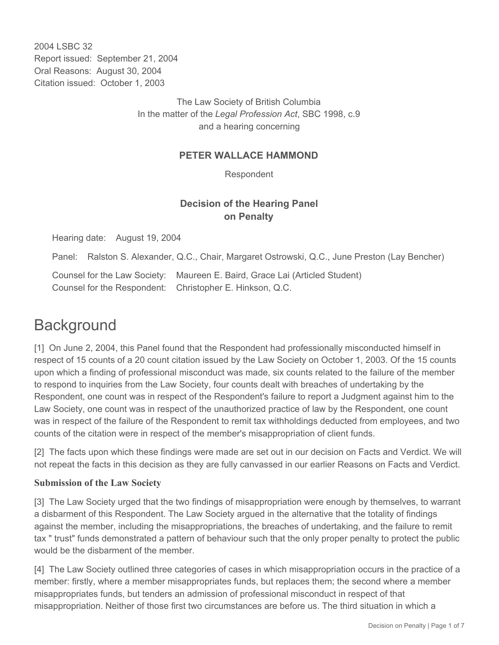2004 LSBC 32 Report issued: September 21, 2004 Oral Reasons: August 30, 2004 Citation issued: October 1, 2003

> The Law Society of British Columbia In the matter of the *Legal Profession Act*, SBC 1998, c.9 and a hearing concerning

### **PETER WALLACE HAMMOND**

Respondent

# **Decision of the Hearing Panel on Penalty**

Hearing date: August 19, 2004

Panel: Ralston S. Alexander, Q.C., Chair, Margaret Ostrowski, Q.C., June Preston (Lay Bencher)

Counsel for the Law Society: Maureen E. Baird, Grace Lai (Articled Student) Counsel for the Respondent: Christopher E. Hinkson, Q.C.

# **Background**

[1] On June 2, 2004, this Panel found that the Respondent had professionally misconducted himself in respect of 15 counts of a 20 count citation issued by the Law Society on October 1, 2003. Of the 15 counts upon which a finding of professional misconduct was made, six counts related to the failure of the member to respond to inquiries from the Law Society, four counts dealt with breaches of undertaking by the Respondent, one count was in respect of the Respondent's failure to report a Judgment against him to the Law Society, one count was in respect of the unauthorized practice of law by the Respondent, one count was in respect of the failure of the Respondent to remit tax withholdings deducted from employees, and two counts of the citation were in respect of the member's misappropriation of client funds.

[2] The facts upon which these findings were made are set out in our decision on Facts and Verdict. We will not repeat the facts in this decision as they are fully canvassed in our earlier Reasons on Facts and Verdict.

### **Submission of the Law Society**

[3] The Law Society urged that the two findings of misappropriation were enough by themselves, to warrant a disbarment of this Respondent. The Law Society argued in the alternative that the totality of findings against the member, including the misappropriations, the breaches of undertaking, and the failure to remit tax " trust" funds demonstrated a pattern of behaviour such that the only proper penalty to protect the public would be the disbarment of the member.

[4] The Law Society outlined three categories of cases in which misappropriation occurs in the practice of a member: firstly, where a member misappropriates funds, but replaces them; the second where a member misappropriates funds, but tenders an admission of professional misconduct in respect of that misappropriation. Neither of those first two circumstances are before us. The third situation in which a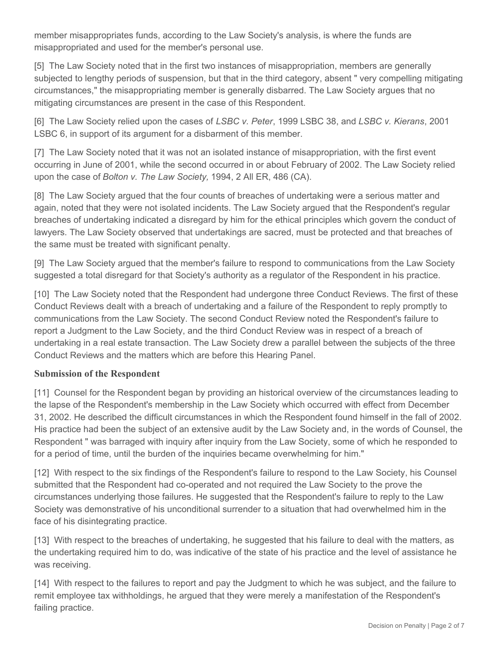member misappropriates funds, according to the Law Society's analysis, is where the funds are misappropriated and used for the member's personal use.

[5] The Law Society noted that in the first two instances of misappropriation, members are generally subjected to lengthy periods of suspension, but that in the third category, absent " very compelling mitigating circumstances," the misappropriating member is generally disbarred. The Law Society argues that no mitigating circumstances are present in the case of this Respondent.

[6] The Law Society relied upon the cases of *LSBC v. Peter*, 1999 LSBC 38, and *LSBC v. Kierans*, 2001 LSBC 6, in support of its argument for a disbarment of this member.

[7] The Law Society noted that it was not an isolated instance of misappropriation, with the first event occurring in June of 2001, while the second occurred in or about February of 2002. The Law Society relied upon the case of *Bolton v. The Law Society,* 1994, 2 All ER, 486 (CA).

[8] The Law Society argued that the four counts of breaches of undertaking were a serious matter and again, noted that they were not isolated incidents. The Law Society argued that the Respondent's regular breaches of undertaking indicated a disregard by him for the ethical principles which govern the conduct of lawyers. The Law Society observed that undertakings are sacred, must be protected and that breaches of the same must be treated with significant penalty.

[9] The Law Society argued that the member's failure to respond to communications from the Law Society suggested a total disregard for that Society's authority as a regulator of the Respondent in his practice.

[10] The Law Society noted that the Respondent had undergone three Conduct Reviews. The first of these Conduct Reviews dealt with a breach of undertaking and a failure of the Respondent to reply promptly to communications from the Law Society. The second Conduct Review noted the Respondent's failure to report a Judgment to the Law Society, and the third Conduct Review was in respect of a breach of undertaking in a real estate transaction. The Law Society drew a parallel between the subjects of the three Conduct Reviews and the matters which are before this Hearing Panel.

### **Submission of the Respondent**

[11] Counsel for the Respondent began by providing an historical overview of the circumstances leading to the lapse of the Respondent's membership in the Law Society which occurred with effect from December 31, 2002. He described the difficult circumstances in which the Respondent found himself in the fall of 2002. His practice had been the subject of an extensive audit by the Law Society and, in the words of Counsel, the Respondent " was barraged with inquiry after inquiry from the Law Society, some of which he responded to for a period of time, until the burden of the inquiries became overwhelming for him."

[12] With respect to the six findings of the Respondent's failure to respond to the Law Society, his Counsel submitted that the Respondent had co-operated and not required the Law Society to the prove the circumstances underlying those failures. He suggested that the Respondent's failure to reply to the Law Society was demonstrative of his unconditional surrender to a situation that had overwhelmed him in the face of his disintegrating practice.

[13] With respect to the breaches of undertaking, he suggested that his failure to deal with the matters, as the undertaking required him to do, was indicative of the state of his practice and the level of assistance he was receiving.

[14] With respect to the failures to report and pay the Judgment to which he was subject, and the failure to remit employee tax withholdings, he argued that they were merely a manifestation of the Respondent's failing practice.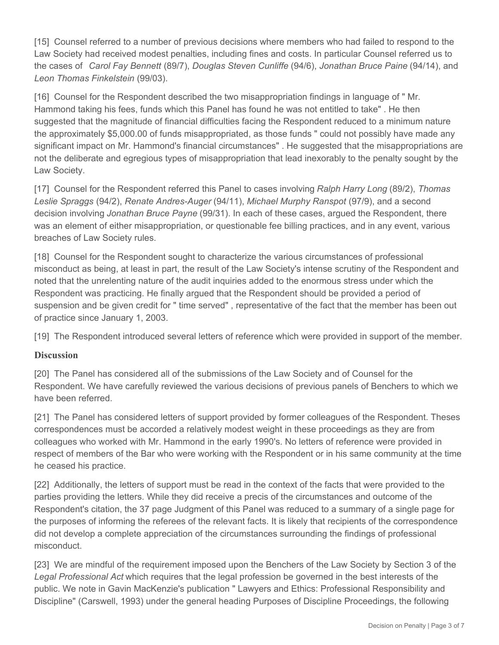[15] Counsel referred to a number of previous decisions where members who had failed to respond to the Law Society had received modest penalties, including fines and costs. In particular Counsel referred us to the cases of *Carol Fay Bennett* (89/7), *Douglas Steven Cunliffe* (94/6), *Jonathan Bruce Paine* (94/14), and *Leon Thomas Finkelstein* (99/03).

[16] Counsel for the Respondent described the two misappropriation findings in language of " Mr. Hammond taking his fees, funds which this Panel has found he was not entitled to take" . He then suggested that the magnitude of financial difficulties facing the Respondent reduced to a minimum nature the approximately \$5,000.00 of funds misappropriated, as those funds " could not possibly have made any significant impact on Mr. Hammond's financial circumstances" . He suggested that the misappropriations are not the deliberate and egregious types of misappropriation that lead inexorably to the penalty sought by the Law Society.

[17] Counsel for the Respondent referred this Panel to cases involving *Ralph Harry Long* (89/2), *Thomas Leslie Spraggs* (94/2), *Renate Andres-Auger* (94/11), *Michael Murphy Ranspot* (97/9), and a second decision involving *Jonathan Bruce Payne* (99/31). In each of these cases, argued the Respondent, there was an element of either misappropriation, or questionable fee billing practices, and in any event, various breaches of Law Society rules.

[18] Counsel for the Respondent sought to characterize the various circumstances of professional misconduct as being, at least in part, the result of the Law Society's intense scrutiny of the Respondent and noted that the unrelenting nature of the audit inquiries added to the enormous stress under which the Respondent was practicing. He finally argued that the Respondent should be provided a period of suspension and be given credit for " time served" , representative of the fact that the member has been out of practice since January 1, 2003.

[19] The Respondent introduced several letters of reference which were provided in support of the member.

### **Discussion**

[20] The Panel has considered all of the submissions of the Law Society and of Counsel for the Respondent. We have carefully reviewed the various decisions of previous panels of Benchers to which we have been referred.

[21] The Panel has considered letters of support provided by former colleagues of the Respondent. Theses correspondences must be accorded a relatively modest weight in these proceedings as they are from colleagues who worked with Mr. Hammond in the early 1990's. No letters of reference were provided in respect of members of the Bar who were working with the Respondent or in his same community at the time he ceased his practice.

[22] Additionally, the letters of support must be read in the context of the facts that were provided to the parties providing the letters. While they did receive a precis of the circumstances and outcome of the Respondent's citation, the 37 page Judgment of this Panel was reduced to a summary of a single page for the purposes of informing the referees of the relevant facts. It is likely that recipients of the correspondence did not develop a complete appreciation of the circumstances surrounding the findings of professional misconduct.

[23] We are mindful of the requirement imposed upon the Benchers of the Law Society by Section 3 of the *Legal Professional Act* which requires that the legal profession be governed in the best interests of the public. We note in Gavin MacKenzie's publication " Lawyers and Ethics: Professional Responsibility and Discipline" (Carswell, 1993) under the general heading Purposes of Discipline Proceedings, the following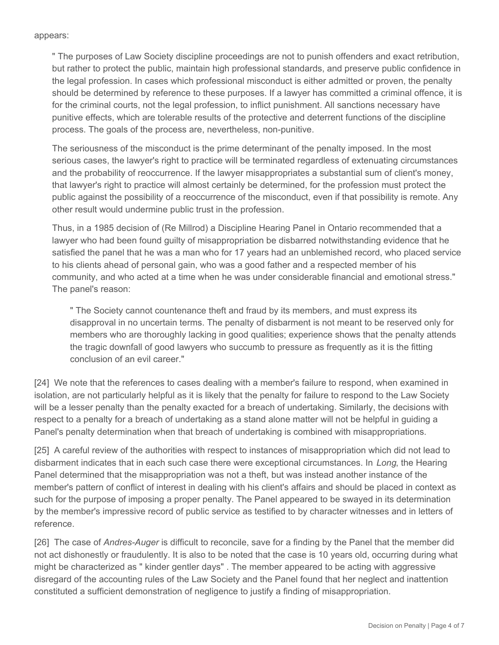#### appears:

" The purposes of Law Society discipline proceedings are not to punish offenders and exact retribution, but rather to protect the public, maintain high professional standards, and preserve public confidence in the legal profession. In cases which professional misconduct is either admitted or proven, the penalty should be determined by reference to these purposes. If a lawyer has committed a criminal offence, it is for the criminal courts, not the legal profession, to inflict punishment. All sanctions necessary have punitive effects, which are tolerable results of the protective and deterrent functions of the discipline process. The goals of the process are, nevertheless, non-punitive.

The seriousness of the misconduct is the prime determinant of the penalty imposed. In the most serious cases, the lawyer's right to practice will be terminated regardless of extenuating circumstances and the probability of reoccurrence. If the lawyer misappropriates a substantial sum of client's money, that lawyer's right to practice will almost certainly be determined, for the profession must protect the public against the possibility of a reoccurrence of the misconduct, even if that possibility is remote. Any other result would undermine public trust in the profession.

Thus, in a 1985 decision of (Re Millrod) a Discipline Hearing Panel in Ontario recommended that a lawyer who had been found guilty of misappropriation be disbarred notwithstanding evidence that he satisfied the panel that he was a man who for 17 years had an unblemished record, who placed service to his clients ahead of personal gain, who was a good father and a respected member of his community, and who acted at a time when he was under considerable financial and emotional stress." The panel's reason:

" The Society cannot countenance theft and fraud by its members, and must express its disapproval in no uncertain terms. The penalty of disbarment is not meant to be reserved only for members who are thoroughly lacking in good qualities; experience shows that the penalty attends the tragic downfall of good lawyers who succumb to pressure as frequently as it is the fitting conclusion of an evil career."

[24] We note that the references to cases dealing with a member's failure to respond, when examined in isolation, are not particularly helpful as it is likely that the penalty for failure to respond to the Law Society will be a lesser penalty than the penalty exacted for a breach of undertaking. Similarly, the decisions with respect to a penalty for a breach of undertaking as a stand alone matter will not be helpful in guiding a Panel's penalty determination when that breach of undertaking is combined with misappropriations.

[25] A careful review of the authorities with respect to instances of misappropriation which did not lead to disbarment indicates that in each such case there were exceptional circumstances. In *Long*, the Hearing Panel determined that the misappropriation was not a theft, but was instead another instance of the member's pattern of conflict of interest in dealing with his client's affairs and should be placed in context as such for the purpose of imposing a proper penalty. The Panel appeared to be swayed in its determination by the member's impressive record of public service as testified to by character witnesses and in letters of reference.

[26] The case of *Andres-Auger* is difficult to reconcile, save for a finding by the Panel that the member did not act dishonestly or fraudulently. It is also to be noted that the case is 10 years old, occurring during what might be characterized as " kinder gentler days" . The member appeared to be acting with aggressive disregard of the accounting rules of the Law Society and the Panel found that her neglect and inattention constituted a sufficient demonstration of negligence to justify a finding of misappropriation.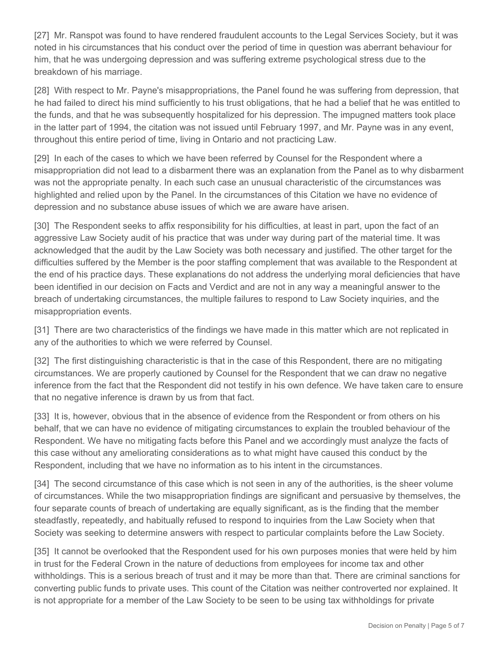[27] Mr. Ranspot was found to have rendered fraudulent accounts to the Legal Services Society, but it was noted in his circumstances that his conduct over the period of time in question was aberrant behaviour for him, that he was undergoing depression and was suffering extreme psychological stress due to the breakdown of his marriage.

[28] With respect to Mr. Payne's misappropriations, the Panel found he was suffering from depression, that he had failed to direct his mind sufficiently to his trust obligations, that he had a belief that he was entitled to the funds, and that he was subsequently hospitalized for his depression. The impugned matters took place in the latter part of 1994, the citation was not issued until February 1997, and Mr. Payne was in any event, throughout this entire period of time, living in Ontario and not practicing Law.

[29] In each of the cases to which we have been referred by Counsel for the Respondent where a misappropriation did not lead to a disbarment there was an explanation from the Panel as to why disbarment was not the appropriate penalty. In each such case an unusual characteristic of the circumstances was highlighted and relied upon by the Panel. In the circumstances of this Citation we have no evidence of depression and no substance abuse issues of which we are aware have arisen.

[30] The Respondent seeks to affix responsibility for his difficulties, at least in part, upon the fact of an aggressive Law Society audit of his practice that was under way during part of the material time. It was acknowledged that the audit by the Law Society was both necessary and justified. The other target for the difficulties suffered by the Member is the poor staffing complement that was available to the Respondent at the end of his practice days. These explanations do not address the underlying moral deficiencies that have been identified in our decision on Facts and Verdict and are not in any way a meaningful answer to the breach of undertaking circumstances, the multiple failures to respond to Law Society inquiries, and the misappropriation events.

[31] There are two characteristics of the findings we have made in this matter which are not replicated in any of the authorities to which we were referred by Counsel.

[32] The first distinguishing characteristic is that in the case of this Respondent, there are no mitigating circumstances. We are properly cautioned by Counsel for the Respondent that we can draw no negative inference from the fact that the Respondent did not testify in his own defence. We have taken care to ensure that no negative inference is drawn by us from that fact.

[33] It is, however, obvious that in the absence of evidence from the Respondent or from others on his behalf, that we can have no evidence of mitigating circumstances to explain the troubled behaviour of the Respondent. We have no mitigating facts before this Panel and we accordingly must analyze the facts of this case without any ameliorating considerations as to what might have caused this conduct by the Respondent, including that we have no information as to his intent in the circumstances.

[34] The second circumstance of this case which is not seen in any of the authorities, is the sheer volume of circumstances. While the two misappropriation findings are significant and persuasive by themselves, the four separate counts of breach of undertaking are equally significant, as is the finding that the member steadfastly, repeatedly, and habitually refused to respond to inquiries from the Law Society when that Society was seeking to determine answers with respect to particular complaints before the Law Society.

[35] It cannot be overlooked that the Respondent used for his own purposes monies that were held by him in trust for the Federal Crown in the nature of deductions from employees for income tax and other withholdings. This is a serious breach of trust and it may be more than that. There are criminal sanctions for converting public funds to private uses. This count of the Citation was neither controverted nor explained. It is not appropriate for a member of the Law Society to be seen to be using tax withholdings for private